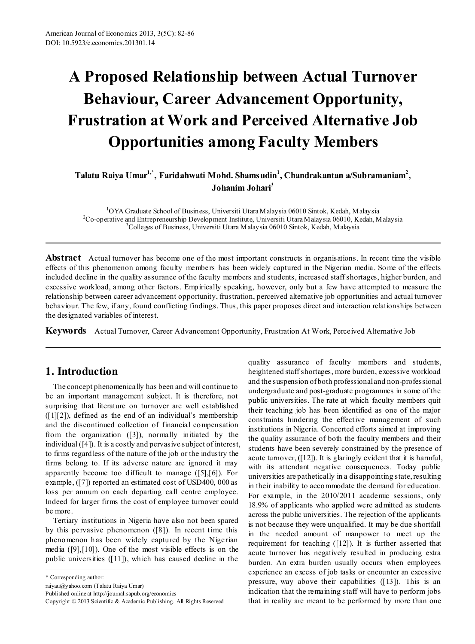# **A Proposed Relationship between Actual Turnover Behaviour, Career Advancement Opportunity, Frustration at Work and Perceived Alternative Job Opportunities among Faculty Members**

**Talatu Raiya Umar1,\* , Faridahwati Mohd. Shamsudin1 , Chandrakantan a/Subramaniam2 , Johanim Johari**<sup>3</sup>

<sup>1</sup>OYA Graduate School of Business, Universiti Utara Malaysia 06010 Sintok, Kedah, Malaysia<br><sup>2</sup>Co-operative and Entrepreneurship Development Institute, Universiti Utara Malaysia 06010, Kedah, M <sup>2</sup>Co-operative and Entrepreneurship Development Institute, Universiti Utara Malaysia 06010, Kedah, Malaysia <sup>3</sup>Colleges of Business, Universiti Utara Malaysia 06010 Sintok, Kedah, Malaysia

**Abstract** Actual turnover has become one of the most important constructs in organisations. In recent time the visible effects of this phenomenon among faculty members has been widely captured in the Nigerian media. Some of the effects included decline in the quality assurance of the faculty members and students, increased staff shortages, higher burden, and excessive workload, among other factors. Empirically speaking, however, only but a few have attempted to measure the relationship between career advancement opportunity, frustration, perceived alternative job opportunities and actual turnover behaviour. The few, if any, found conflicting findings. Thus, this paper proposes direct and interaction relationships between the designated variables of interest.

**Keywords** Actual Turnover, Career Advancement Opportunity, Frustration At Work, Perceived Alternative Job

## **1. Introduction**

The concept phenomenically has been and will continue to be an important management subject. It is therefore, not surprising that literature on turnover are well established  $([1][2])$ , defined as the end of an individual's membership and the discontinued collection of financial compensation from the organization ([3]), normally initiated by the individual ([4]). It is a costly and pervasive subject of interest, to firms regardless of the nature of the job or the industry the firms belong to. If its adverse nature are ignored it may apparently become too difficult to manage ([5],[6]). For example, ([7]) reported an estimated cost of USD400, 000 as loss per annum on each departing call centre employee. Indeed for larger firms the cost of employee turnover could be more.

Tertiary institutions in Nigeria have also not been spared by this pervasive phenomenon ([8]). In recent time this phenomenon has been widely captured by the Nigerian media ([9],[10]). One of the most visible effects is on the public universities ([11]), which has caused decline in the

\* Corresponding author:

raiyau@yahoo.com (Talatu Raiya Umar)

Published online at http://journal.sapub.org/economics

quality assurance of faculty members and students, heightened staff shortages, more burden, excessive workload and the suspension of both professional and non-professional undergraduate and post-graduate programmes in some of the public universities. The rate at which faculty members quit their teaching job has been identified as one of the major constraints hindering the effective management of such institutions in Nigeria. Concerted efforts aimed at improving the quality assurance of both the faculty members and their students have been severely constrained by the presence of acute turnover, ([12]). It is glaringly evident that it is harmful, with its attendant negative consequences. Today public universities are pathetically in a disappointing state, resulting in their inability to accommodate the demand for education. For example, in the 2010/2011 academic sessions, only 18.9% of applicants who applied were admitted as students across the public universities. The rejection of the applicants is not because they were unqualified. It may be due shortfall in the needed amount of manpower to meet up the requirement for teaching ([12]). It is further asserted that acute turnover has negatively resulted in producing extra burden. An extra burden usually occurs when employees experience an excess of job tasks or encounter an excessive pressure, way above their capabilities ([13]). This is an indication that the remaining staff will have to perform jobs that in reality are meant to be performed by more than one

Copyright © 2013 Scientific & Academic Publishing. All Rights Reserved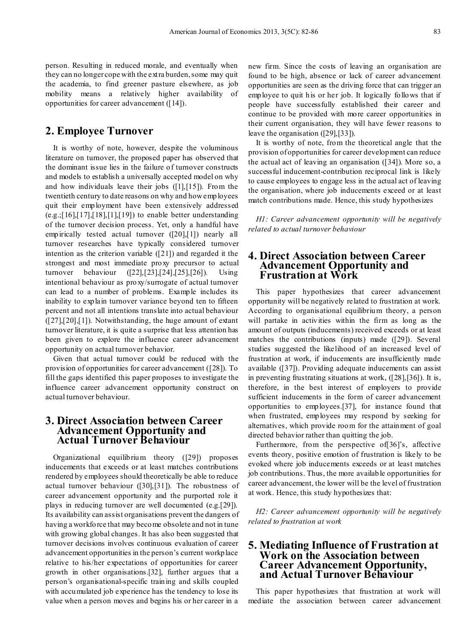person. Resulting in reduced morale, and eventually when they can no longer cope with the extra burden, some may quit the academia, to find greener pasture elsewhere, as job mobility means a relatively higher availability of opportunities for career advancement ([14]).

### **2. Employee Turnover**

It is worthy of note, however, despite the voluminous literature on turnover, the proposed paper has observed that the dominant issue lies in the failure of turnover constructs and models to establish a universally accepted model on why and how individuals leave their jobs ([1],[15]). From the twentieth century to date reasons on why and how employees quit their employment have been extensively addressed  $(e.g., [16], [17], [18], [1], [19])$  to enable better understanding of the turnover decision process. Yet, only a handful have empirically tested actual turnover ([20],[1]) nearly all turnover researches have typically considered turnover intention as the criterion variable ([21]) and regarded it the strongest and most immediate proxy precursor to actual turnover behaviour ([22],[23],[24],[25],[26]). Using intentional behaviour as proxy/surrogate of actual turnover can lead to a number of problems. Example includes its inability to explain turnover variance beyond ten to fifteen percent and not all intentions translate into actual behaviour ([27],[20],[1]). Notwithstanding, the huge amount of extant turnover literature, it is quite a surprise that less attention has been given to explore the influence career advancement opportunity on actual turnover behavior.

Given that actual turnover could be reduced with the provision of opportunities for career advancement ([28]). To fill the gaps identified this paper proposes to investigate the influence career advancement opportunity construct on actual turnover behaviour.

#### **3. Direct Association between Career Advancement Opportunity and Actual Turnover Behaviour**

Organizational equilibrium theory ([29]) proposes inducements that exceeds or at least matches contributions rendered by employees should theoretically be able to reduce actual turnover behaviour ([30],[31]). The robustness of career advancement opportunity and the purported role it plays in reducing turnover are well documented (e.g.[29]). Its availability can assist organisations prevent the dangers of having a workforce that may become obsolete and not in tune with growing global changes. It has also been suggested that turnover decisions involves continuous evaluation of career advancement opportunities in the person's current workplace relative to his/her expectations of opportunities for career growth in other organisations.[32], further argues that a person's organisational-specific training and skills coupled with accumulated job experience has the tendency to lose its value when a person moves and begins his or her career in a

new firm. Since the costs of leaving an organisation are found to be high, absence or lack of career advancement opportunities are seen as the driving force that can trigger an employee to quit his or her job. It logically follows that if people have successfully established their career and continue to be provided with more career opportunities in their current organisation, they will have fewer reasons to leave the organisation ([29],[33]).

It is worthy of note, from the theoretical angle that the provision of opportunities for career development can reduce the actual act of leaving an organisation ([34]). More so, a successful inducement-contribution reciprocal link is likely to cause employees to engage less in the actual act of leaving the organisation, where job inducements exceed or at least match contributions made. Hence, this study hypothesizes

*H1: Career advancement opportunity will be negatively related to actual turnover behaviour*

#### **4. Direct Association between Career Advancement Opportunity and Frustration at Work**

This paper hypothesizes that career advancement opportunity will be negatively related to frustration at work. According to organisational equilibrium theory, a person will partake in activities within the firm as long as the amount of outputs (inducements) received exceeds or at least matches the contributions (inputs) made ([29]). Several studies suggested the likelihood of an increased level of frustration at work, if inducements are insufficiently made available ([37]). Providing adequate inducements can assist in preventing frustrating situations at work, ([28],[36]). It is, therefore, in the best interest of employers to provide sufficient inducements in the form of career advancement opportunities to employees.[37], for instance found that when frustrated, employees may respond by seeking for alternatives, which provide room for the attainment of goal directed behavior rather than quitting the job.

Furthermore, from the perspective of [36]'s, affective events theory, positive emotion of frustration is likely to be evoked where job inducements exceeds or at least matches job contributions. Thus, the more available opportunities for career advancement, the lower will be the level of frustration at work. Hence, this study hypothesizes that:

*H2: Career advancement opportunity will be negatively related to frustration at work*

#### **5. Mediating Influence of Frustration at Work on the Association between Career Advancement Opportunity, and Actual Turnover Behaviour**

This paper hypothesizes that frustration at work will mediate the association between career advancement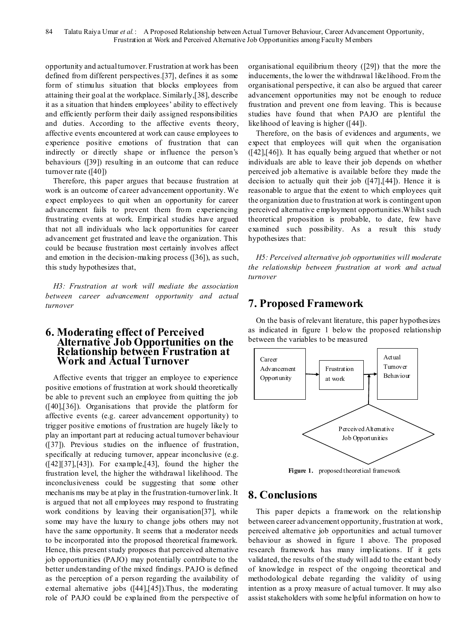opportunity and actual turnover. Frustration at work has been defined from different perspectives.[37], defines it as some form of stimulus situation that blocks employees from attaining their goal at the workplace. Similarly,[38], describe it as a situation that hinders employees' ability to effectively and efficiently perform their daily assigned responsibilities and duties. According to the affective events theory, affective events encountered at work can cause employees to experience positive emotions of frustration that can indirectly or directly shape or influence the person's behaviours ([39]) resulting in an outcome that can reduce turnover rate ([40])

Therefore, this paper argues that because frustration at work is an outcome of career advancement opportunity. We expect employees to quit when an opportunity for career advancement fails to prevent them from experiencing frustrating events at work. Empirical studies have argued that not all individuals who lack opportunities for career advancement get frustrated and leave the organization. This could be because frustration most certainly involves affect and emotion in the decision-making process ([36]), as such, this study hypothesizes that,

*H3: Frustration at work will mediate the association between career advancement opportunity and actual turnover* 

#### **6. Moderating effect of Perceived Alternative Job Opportunities on the Relationship between Frustration at Work and Actual Turnover**

Affective events that trigger an employee to experience positive emotions of frustration at work should theoretically be able to prevent such an employee from quitting the job ([40],[36]). Organisations that provide the platform for affective events (e.g. career advancement opportunity) to trigger positive emotions of frustration are hugely likely to play an important part at reducing actual turnover behaviour ([37]). Previous studies on the influence of frustration, specifically at reducing turnover, appear inconclusive (e.g.  $([42][37],[43])$ . For example, [43], found the higher the frustration level, the higher the withdrawal likelihood. The inconclusiveness could be suggesting that some other mechanis ms may be at play in the frustration-turnover link. It is argued that not all employees may respond to frustrating work conditions by leaving their organisation[37], while some may have the luxury to change jobs others may not have the same opportunity. It seems that a moderator needs to be incorporated into the proposed theoretical framework. Hence, this present study proposes that perceived alternative job opportunities (PAJO) may potentially contribute to the better understanding of the mixed findings. PAJO is defined as the perception of a person regarding the availability of external alternative jobs ([44],[45]).Thus, the moderating role of PAJO could be explained from the perspective of organisational equilibrium theory ([29]) that the more the inducements, the lower the withdrawal likelihood. From the organisational perspective, it can also be argued that career advancement opportunities may not be enough to reduce frustration and prevent one from leaving. This is because studies have found that when PAJO are plentiful the likelihood of leaving is higher ([44]).

Therefore, on the basis of evidences and arguments, we expect that employees will quit when the organisation ([42],[46]). It has equally being argued that whether or not individuals are able to leave their job depends on whether perceived job alternative is available before they made the decision to actually quit their job ([47],[44]). Hence it is reasonable to argue that the extent to which employees quit the organization due to frustration at work is contingent upon perceived alternative employment opportunities.Whilst such theoretical proposition is probable, to date, few have examined such possibility. As a result this study hypothesizes that:

*H5: Perceived alternative job opportunities will moderate the relationship between frustration at work and actual turnover*

# **7. Proposed Framework**

On the basis of relevant literature, this paper hypothesizes as indicated in figure 1 below the proposed relationship between the variables to be measured



**Figure 1.** proposed theoretical framework

## **8. Conclusions**

This paper depicts a framework on the relationship between career advancement opportunity, frustration at work, perceived alternative job opportunities and actual turnover behaviour as showed in figure 1 above. The proposed research framework has many implications. If it gets validated, the results of the study will add to the extant body of knowledge in respect of the ongoing theoretical and methodological debate regarding the validity of using intention as a proxy measure of actual turnover. It may also assist stakeholders with some helpful information on how to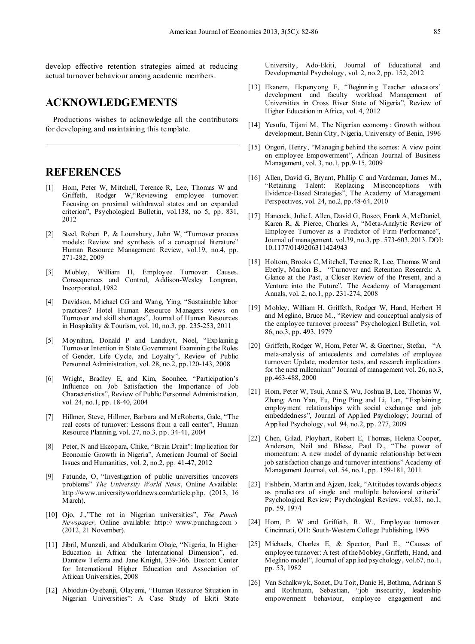develop effective retention strategies aimed at reducing actual turnover behaviour among academic members.

#### **ACKNOWLEDGEMENTS**

Productions wishes to acknowledge all the contributors for developing and maintaining this template.

#### **REFERENCES**

- [1] Hom, Peter W, Mitchell, Terence R, Lee, Thomas W and Griffeth, Rodger W, "Reviewing employee turnover: Focusing on proximal withdrawal states and an expanded criterion", Psychological Bulletin, vol.138, no 5, pp. 831, 2012
- [2] Steel, Robert P, & Lounsbury, John W, "Turnover process models: Review and synthesis of a conceptual literature" Human Resource Management Review, vol.19, no.4, pp. 271-282, 2009
- Mobley, William H, Employee Turnover: Causes. Consequences and Control, Addison-Wesley Longman, Incorporated, 1982
- [4] Davidson, Michael CG and Wang, Ying, "Sustainable labor practices? Hotel Human Resource Managers views on Turnover and skill shortages", Journal of Human Resources in Hospitality & Tourism, vol. 10, no.3, pp. 235-253, 2011
- [5] Moynihan, Donald P and Landuyt, Noel, "Explaining Turnover Intention in State Government Examining the Roles of Gender, Life Cycle, and Loyalty", Review of Public Personnel Administration, vol. 28, no.2, pp.120-143, 2008
- [6] Wright, Bradley E, and Kim, Soonhee, "Participation's Influence on Job Satisfaction the Importance of Job Characteristics", Review of Public Personnel Administration, vol. 24, no.1, pp. 18-40, 2004
- [7] Hillmer, Steve, Hillmer, Barbara and McRoberts, Gale, "The real costs of turnover: Lessons from a call center", Human Resource Planning, vol. 27, no.3, pp. 34-41, 2004
- [8] Peter, N and Ekeopara, Chike, "Brain Drain": Implication for Economic Growth in Nigeria", American Journal of Social Issues and Humanities, vol. 2, no.2, pp. 41-47, 2012
- [9] Fatunde, O, "Investigation of public universities uncovers problems" *The University World News*, Online Available: http://www.universityworldnews.com/article.php, (2013, 16 March).
- [10] Ojo, J.,"The rot in Nigerian universities", *The Punch Newspaper*, Online available: http:// www.punchng.com > (2012, 21 November).
- [11] Jibril, Munzali, and Abdulkarim Obaje, "Nigeria, In Higher Education in Africa: the International Dimension", ed. Damtew Teferra and Jane Knight, 339-366. Boston: Center for International Higher Education and Association of African Universities, 2008
- [12] Abiodun-Oyebanji, Olayemi, "Human Resource Situation in Nigerian Universities": A Case Study of Ekiti State

University, Ado-Ekiti, Journal of Educational and Developmental Psychology, vol. 2, no.2, pp. 152, 2012

- [13] Ekanem, Ekpenyong E, "Beginning Teacher educators' development and faculty workload Management of Universities in Cross River State of Nigeria", Review of Higher Education in Africa, vol. 4, 2012
- [14] Yesufu, Tijani M, The Nigerian economy: Growth without development, Benin City, Nigeria, University of Benin, 1996
- [15] Ongori, Henry, "Managing behind the scenes: A view point on employee Empowerment", African Journal of Business Management, vol. 3, no.1, pp.9-15, 2009
- [16] Allen, David G, Bryant, Phillip C and Vardaman, James M., "Retaining Talent: Replacing Misconceptions with Evidence-Based Strategies", The Academy of Management Perspectives, vol. 24, no.2, pp.48-64, 2010
- [17] Hancock, Julie I, Allen, David G, Bosco, Frank A, McDaniel, Karen R, & Pierce, Charles A, "Meta-Analytic Review of Employee Turnover as a Predictor of Firm Performance", Journal of management, vol.39, no.3, pp. 573-603, 2013. DOI: 10.1177/0149206311424943
- [18] Holtom, Brooks C, Mitchell, Terence R, Lee, Thomas W and Eberly, Marion B., "Turnover and Retention Research: A Glance at the Past, a Closer Review of the Present, and a Venture into the Future", The Academy of Management Annals, vol. 2, no.1, pp. 231-274, 2008
- [19] Mobley, William H, Griffeth, Rodger W, Hand, Herbert H and Meglino, Bruce M., "Review and conceptual analysis of the employee turnover process" Psychological Bulletin, vol. 86, no.3, pp. 493, 1979
- [20] Griffeth, Rodger W, Hom, Peter W, & Gaertner, Stefan, "A meta-analysis of antecedents and correlates of employee turnover: Update, moderator tests, and research implications for the next millennium" Journal of management vol. 26, no.3, pp.463-488, 2000
- [21] Hom, Peter W, Tsui, Anne S, Wu, Joshua B, Lee, Thomas W, Zhang, Ann Yan, Fu, Ping Ping and Li, Lan, "Explaining employment relationships with social exchange and job embeddedness", Journal of Applied Psychology; Journal of Applied Psychology, vol. 94, no.2, pp. 277, 2009
- [22] Chen, Gilad, Ployhart, Robert E, Thomas, Helena Cooper, Anderson, Neil and Bliese, Paul D., "The power of momentum: A new model of dynamic relationship between job satisfaction change and turnover intentions" Academy of Management Journal, vol. 54, no.1, pp. 159-181, 2011
- [23] Fishbein, Martin and Ajzen, Icek, "Attitudes towards objects as predictors of single and multiple behavioral criteria" Psychological Review; Psychological Review, vol.81, no.1, pp. 59, 1974
- [24] Hom, P. W and Griffeth, R. W., Employee turnover. Cincinnati, OH: South-Western College Publishing, 1995
- [25] Michaels, Charles E, & Spector, Paul E., "Causes of employee turnover: A test of the Mobley, Griffeth, Hand, and Meglino model", Journal of applied psychology, vol.67, no.1, pp. 53, 1982
- [26] Van Schalkwyk, Sonet, Du Toit, Danie H, Bothma, Adriaan S and Rothmann, Sebastian, "job insecurity, leadership empowerment behaviour, employee engagement and